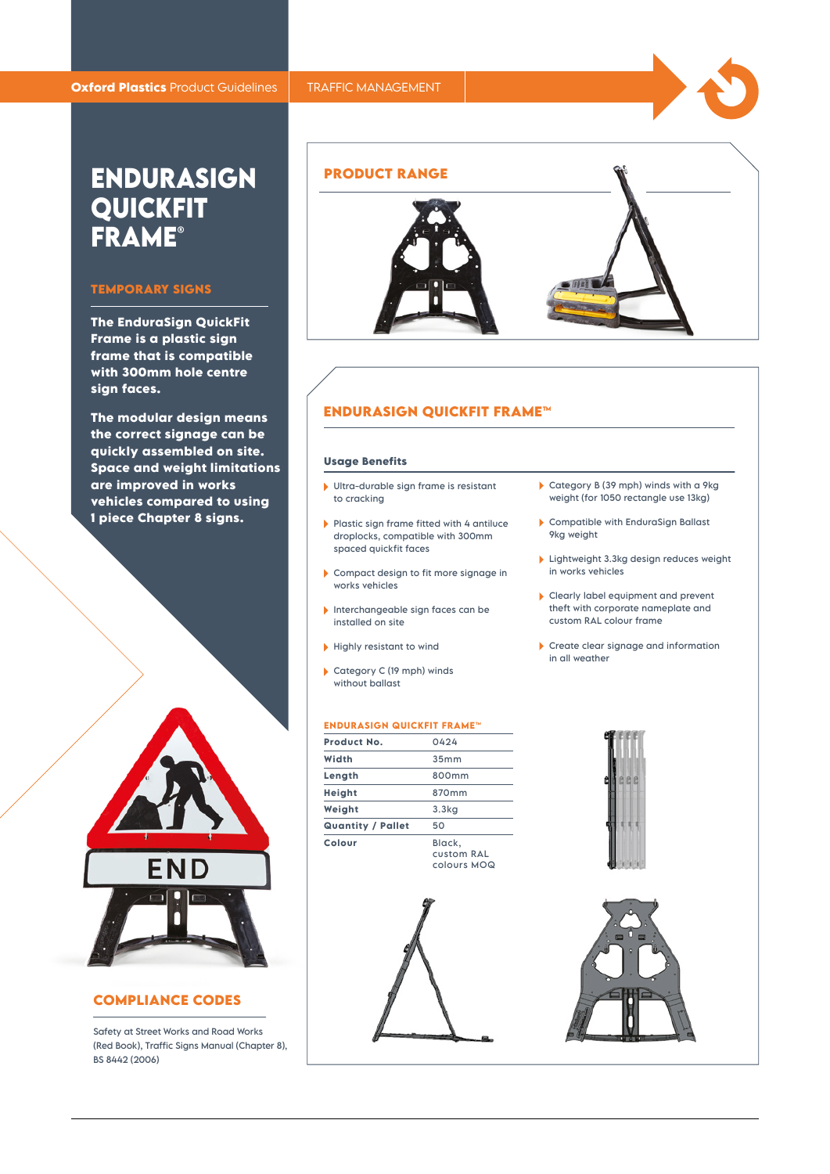# **ENDURASIGN QUICKFIT FRAME®**

# **TEMPORARY SIGNS**

**The EnduraSign QuickFit Frame is a plastic sign frame that is compatible with 300mm hole centre sign faces.**

**The modular design means the correct signage can be quickly assembled on site. Space and weight limitations are improved in works vehicles compared to using 1 piece Chapter 8 signs.**



## **COMPLIANCE CODES**

Safety at Street Works and Road Works (Red Book), Traffic Signs Manual (Chapter 8), BS 8442 (2006)



### **ENDURASIGN QUICKFIT FRAME™**

#### **Usage Benefits**

- Ultra-durable sign frame is resistant to cracking
- Plastic sign frame fitted with 4 antiluce droplocks, compatible with 300mm spaced quickfit faces
- Compact design to fit more signage in works vehicles
- Interchangeable sign faces can be installed on site
- $\blacktriangleright$  Highly resistant to wind
- Category C (19 mph) winds without ballast

# **ENDURASIGN QUICKFIT FRAME™**

| Product No.              | 0424                                       |
|--------------------------|--------------------------------------------|
| Width                    | 35mm                                       |
| Length                   | 800mm                                      |
| Height                   | 870mm                                      |
| Weight                   | 3.3 <sub>kq</sub>                          |
| <b>Quantity / Pallet</b> | 50                                         |
| Colour                   | Black,<br><b>CUSTOM RAL</b><br>colours MOQ |







- Compatible with EnduraSign Ballast 9kg weight
- **Lightweight 3.3kg design reduces weight** in works vehicles
- Clearly label equipment and prevent theft with corporate nameplate and custom RAL colour frame
- Create clear signage and information in all weather